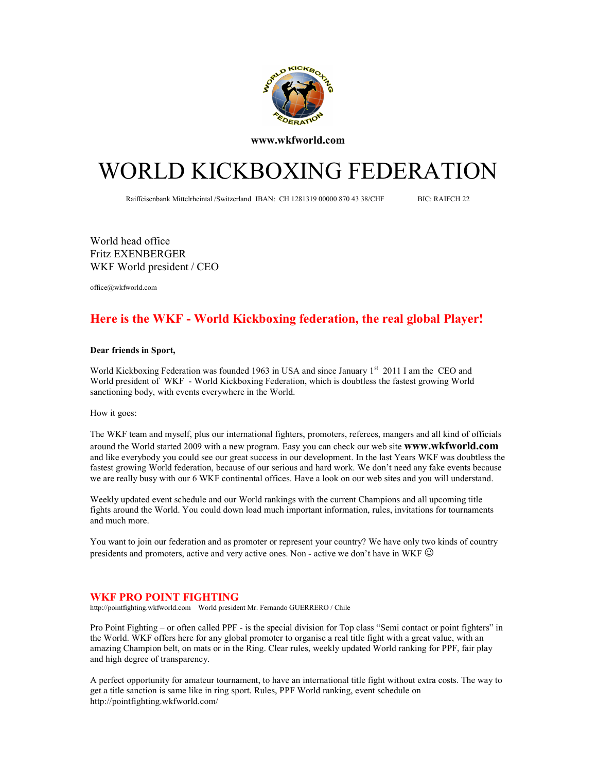

www.wkfworld.com

# WORLD KICKBOXING FEDERATION

Raiffeisenbank Mittelrheintal /Switzerland IBAN: CH 1281319 00000 870 43 38/CHF BIC: RAIFCH 22

World head office Fritz EXENBERGER WKF World president / CEO

office@wkfworld.com

### Here is the WKF - World Kickboxing federation, the real global Player!

#### Dear friends in Sport,

World Kickboxing Federation was founded 1963 in USA and since January 1st 2011 I am the CEO and World president of WKF - World Kickboxing Federation, which is doubtless the fastest growing World sanctioning body, with events everywhere in the World.

How it goes:

The WKF team and myself, plus our international fighters, promoters, referees, mangers and all kind of officials around the World started 2009 with a new program. Easy you can check our web site www.wkfworld.com and like everybody you could see our great success in our development. In the last Years WKF was doubtless the fastest growing World federation, because of our serious and hard work. We don't need any fake events because we are really busy with our 6 WKF continental offices. Have a look on our web sites and you will understand.

Weekly updated event schedule and our World rankings with the current Champions and all upcoming title fights around the World. You could down load much important information, rules, invitations for tournaments and much more.

You want to join our federation and as promoter or represent your country? We have only two kinds of country presidents and promoters, active and very active ones. Non - active we don't have in WKF  $\odot$ 

#### WKF PRO POINT FIGHTING

http://pointfighting.wkfworld.com World president Mr. Fernando GUERRERO / Chile

Pro Point Fighting – or often called PPF - is the special division for Top class "Semi contact or point fighters" in the World. WKF offers here for any global promoter to organise a real title fight with a great value, with an amazing Champion belt, on mats or in the Ring. Clear rules, weekly updated World ranking for PPF, fair play and high degree of transparency.

A perfect opportunity for amateur tournament, to have an international title fight without extra costs. The way to get a title sanction is same like in ring sport. Rules, PPF World ranking, event schedule on http://pointfighting.wkfworld.com/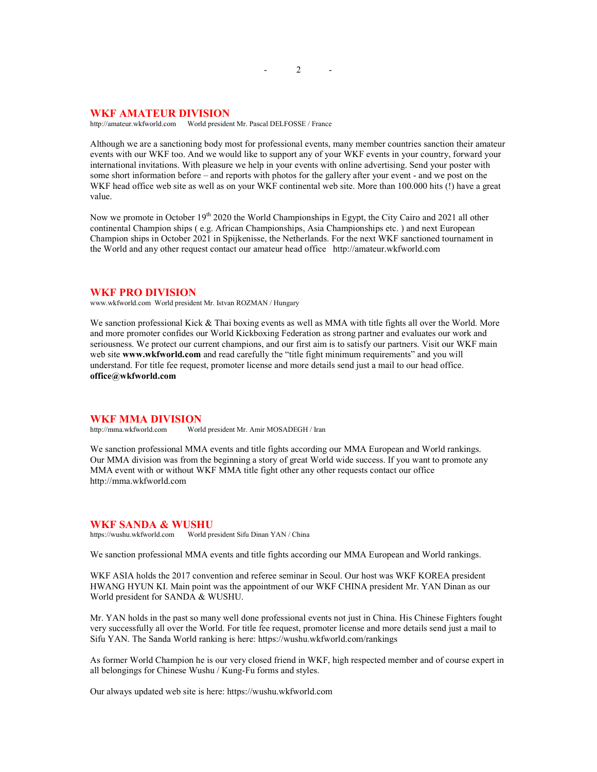#### 2 <sub>2</sub>

#### WKF AMATEUR DIVISION

http://amateur.wkfworld.com World president Mr. Pascal DELFOSSE / France

Although we are a sanctioning body most for professional events, many member countries sanction their amateur events with our WKF too. And we would like to support any of your WKF events in your country, forward your international invitations. With pleasure we help in your events with online advertising. Send your poster with some short information before – and reports with photos for the gallery after your event - and we post on the WKF head office web site as well as on your WKF continental web site. More than 100.000 hits (!) have a great value.

Now we promote in October 19<sup>th</sup> 2020 the World Championships in Egypt, the City Cairo and 2021 all other continental Champion ships ( e.g. African Championships, Asia Championships etc. ) and next European Champion ships in October 2021 in Spijkenisse, the Netherlands. For the next WKF sanctioned tournament in the World and any other request contact our amateur head office http://amateur.wkfworld.com

#### WKF PRO DIVISION

www.wkfworld.com World president Mr. Istvan ROZMAN / Hungary

We sanction professional Kick & Thai boxing events as well as MMA with title fights all over the World. More and more promoter confides our World Kickboxing Federation as strong partner and evaluates our work and seriousness. We protect our current champions, and our first aim is to satisfy our partners. Visit our WKF main web site www.wkfworld.com and read carefully the "title fight minimum requirements" and you will understand. For title fee request, promoter license and more details send just a mail to our head office. office@wkfworld.com

## **WKF MMA DIVISION**<br>http://mma.wkfworld.com World

World president Mr. Amir MOSADEGH / Iran

We sanction professional MMA events and title fights according our MMA European and World rankings. Our MMA division was from the beginning a story of great World wide success. If you want to promote any MMA event with or without WKF MMA title fight other any other requests contact our office http://mma.wkfworld.com

#### WKF SANDA & WUSHU

https://wushu.wkfworld.com World president Sifu Dinan YAN / China

We sanction professional MMA events and title fights according our MMA European and World rankings.

WKF ASIA holds the 2017 convention and referee seminar in Seoul. Our host was WKF KOREA president HWANG HYUN KI. Main point was the appointment of our WKF CHINA president Mr. YAN Dinan as our World president for SANDA & WUSHU.

Mr. YAN holds in the past so many well done professional events not just in China. His Chinese Fighters fought very successfully all over the World. For title fee request, promoter license and more details send just a mail to Sifu YAN. The Sanda World ranking is here: https://wushu.wkfworld.com/rankings

As former World Champion he is our very closed friend in WKF, high respected member and of course expert in all belongings for Chinese Wushu / Kung-Fu forms and styles.

Our always updated web site is here: https://wushu.wkfworld.com